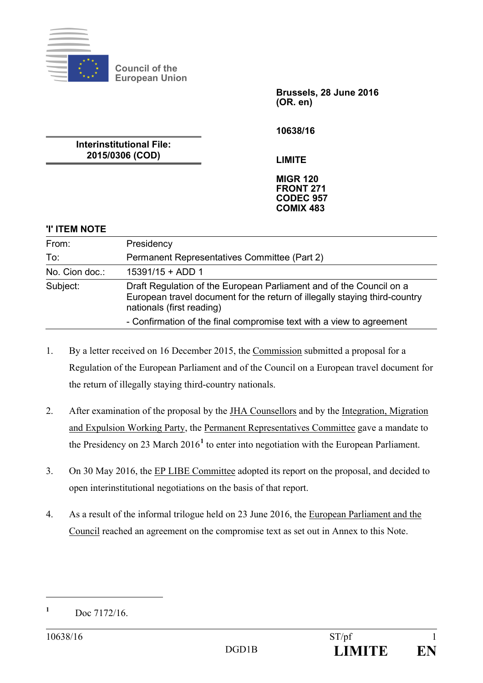

**Council of the European Union** 

> **Brussels, 28 June 2016 (OR. en)**

**10638/16** 

**Interinstitutional File: 2015/0306 (COD)** 

**LIMITE** 

**MIGR 120 FRONT 271 CODEC 957 COMIX 483** 

#### **'I' ITEM NOTE**

| From:          | Presidency                                                                                                                                                                     |  |
|----------------|--------------------------------------------------------------------------------------------------------------------------------------------------------------------------------|--|
| To:            | Permanent Representatives Committee (Part 2)                                                                                                                                   |  |
| No. Cion doc.: | $15391/15 + ADD 1$                                                                                                                                                             |  |
| Subject:       | Draft Regulation of the European Parliament and of the Council on a<br>European travel document for the return of illegally staying third-country<br>nationals (first reading) |  |
|                | - Confirmation of the final compromise text with a view to agreement                                                                                                           |  |

- 1. By a letter received on 16 December 2015, the Commission submitted a proposal for a Regulation of the European Parliament and of the Council on a European travel document for the return of illegally staying third-country nationals.
- 2. After examination of the proposal by the JHA Counsellors and by the Integration, Migration and Expulsion Working Party, the Permanent Representatives Committee gave a mandate to the Presidency on 23 March 2016**<sup>1</sup>** to enter into negotiation with the European Parliament.
- 3. On 30 May 2016, the EP LIBE Committee adopted its report on the proposal, and decided to open interinstitutional negotiations on the basis of that report.
- 4. As a result of the informal trilogue held on 23 June 2016, the European Parliament and the Council reached an agreement on the compromise text as set out in Annex to this Note.

**<sup>1</sup>** Doc 7172/16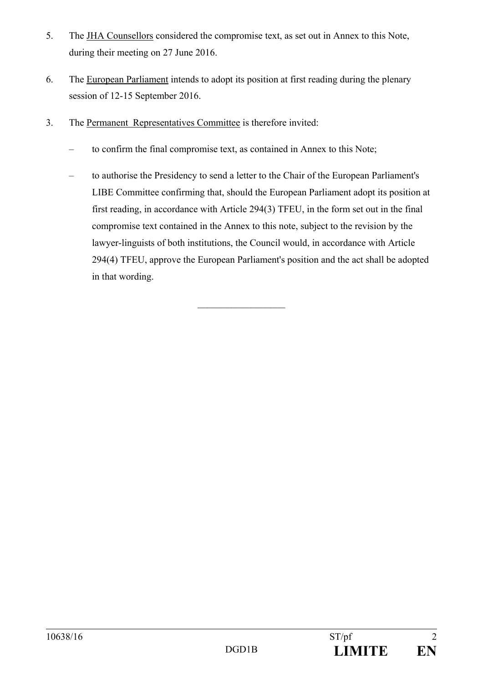- 5. The JHA Counsellors considered the compromise text, as set out in Annex to this Note, during their meeting on 27 June 2016.
- 6. The European Parliament intends to adopt its position at first reading during the plenary session of 12-15 September 2016.
- 3. The Permanent Representatives Committee is therefore invited:
	- to confirm the final compromise text, as contained in Annex to this Note;
	- to authorise the Presidency to send a letter to the Chair of the European Parliament's LIBE Committee confirming that, should the European Parliament adopt its position at first reading, in accordance with Article 294(3) TFEU, in the form set out in the final compromise text contained in the Annex to this note, subject to the revision by the lawyer-linguists of both institutions, the Council would, in accordance with Article 294(4) TFEU, approve the European Parliament's position and the act shall be adopted in that wording.

 $\mathcal{L}_\text{max}$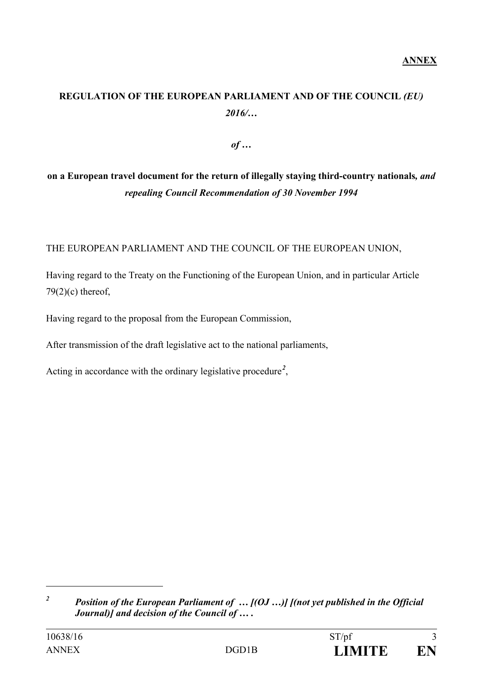# **REGULATION OF THE EUROPEAN PARLIAMENT AND OF THE COUNCIL** *(EU) 2016/…*

*of …* 

# **on a European travel document for the return of illegally staying third-country nationals***, and repealing Council Recommendation of 30 November 1994*

THE EUROPEAN PARLIAMENT AND THE COUNCIL OF THE EUROPEAN UNION,

Having regard to the Treaty on the Functioning of the European Union, and in particular Article  $79(2)(c)$  thereof,

Having regard to the proposal from the European Commission,

After transmission of the draft legislative act to the national parliaments,

Acting in accordance with the ordinary legislative procedure*<sup>2</sup>* ,

*<sup>2</sup> Position of the European Parliament of … [(OJ …)] [(not yet published in the Official Journal)] and decision of the Council of … .*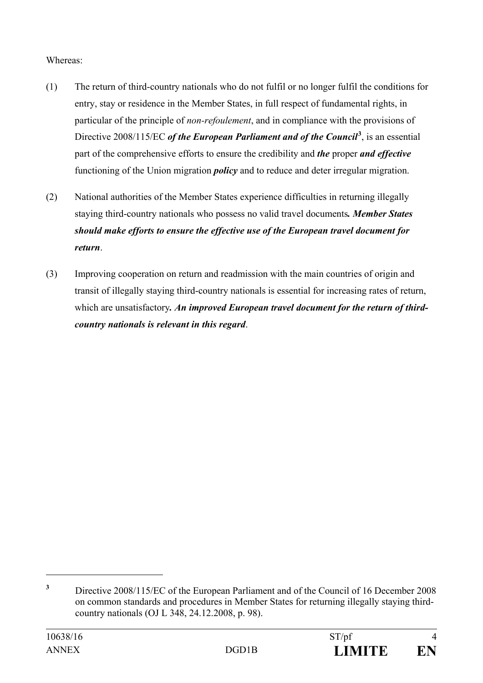### Whereas:

- (1) The return of third-country nationals who do not fulfil or no longer fulfil the conditions for entry, stay or residence in the Member States, in full respect of fundamental rights, in particular of the principle of *non-refoulement*, and in compliance with the provisions of Directive 2008/115/EC *of the European Parliament and of the Council***<sup>3</sup>** , is an essential part of the comprehensive efforts to ensure the credibility and *the* proper *and effective*  functioning of the Union migration *policy* and to reduce and deter irregular migration.
- (2) National authorities of the Member States experience difficulties in returning illegally staying third-country nationals who possess no valid travel documents*. Member States should make efforts to ensure the effective use of the European travel document for return*.
- (3) Improving cooperation on return and readmission with the main countries of origin and transit of illegally staying third-country nationals is essential for increasing rates of return, which are unsatisfactory. An improved European travel document for the return of third*country nationals is relevant in this regard*.

**<sup>3</sup>** Directive 2008/115/EC of the European Parliament and of the Council of 16 December 2008 on common standards and procedures in Member States for returning illegally staying thirdcountry nationals (OJ L 348, 24.12.2008, p. 98).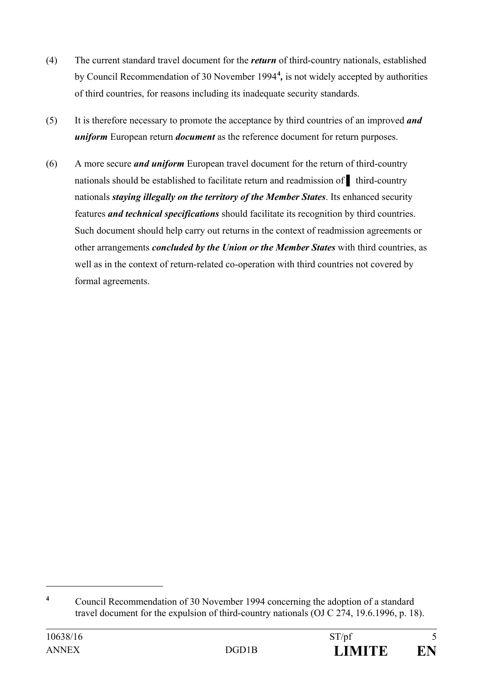- (4) The current standard travel document for the *return* of third-country nationals, established by Council Recommendation of 30 November 1994**<sup>4</sup>** *,* is not widely accepted by authorities of third countries, for reasons including its inadequate security standards.
- (5) It is therefore necessary to promote the acceptance by third countries of an improved *and uniform* European return *document* as the reference document for return purposes.
- (6) A more secure *and uniform* European travel document for the return of third-country nationals should be established to facilitate return and readmission of ▌ third-country nationals *staying illegally on the territory of the Member States*. Its enhanced security features *and technical specifications* should facilitate its recognition by third countries. Such document should help carry out returns in the context of readmission agreements or other arrangements *concluded by the Union or the Member States* with third countries, as well as in the context of return-related co-operation with third countries not covered by formal agreements.

**<sup>4</sup>** Council Recommendation of 30 November 1994 concerning the adoption of a standard travel document for the expulsion of third-country nationals (OJ C 274, 19.6.1996, p. 18).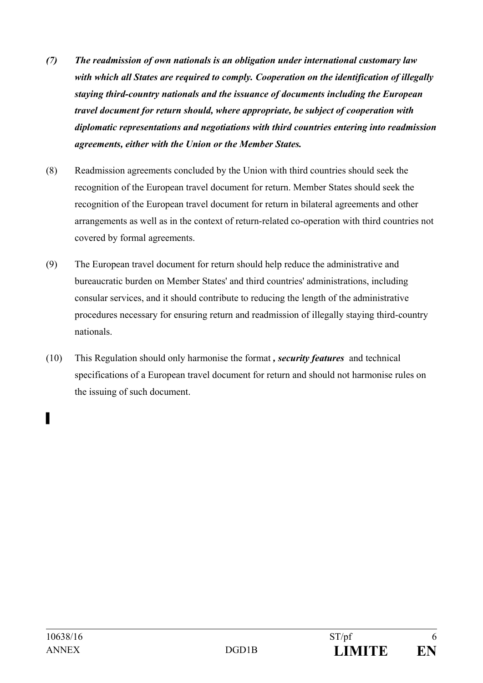- *(7) The readmission of own nationals is an obligation under international customary law with which all States are required to comply. Cooperation on the identification of illegally staying third-country nationals and the issuance of documents including the European travel document for return should, where appropriate, be subject of cooperation with diplomatic representations and negotiations with third countries entering into readmission agreements, either with the Union or the Member States.*
- (8) Readmission agreements concluded by the Union with third countries should seek the recognition of the European travel document for return. Member States should seek the recognition of the European travel document for return in bilateral agreements and other arrangements as well as in the context of return-related co-operation with third countries not covered by formal agreements.
- (9) The European travel document for return should help reduce the administrative and bureaucratic burden on Member States' and third countries' administrations, including consular services, and it should contribute to reducing the length of the administrative procedures necessary for ensuring return and readmission of illegally staying third-country nationals.
- (10) This Regulation should only harmonise the format *, security features* and technical specifications of a European travel document for return and should not harmonise rules on the issuing of such document.

▌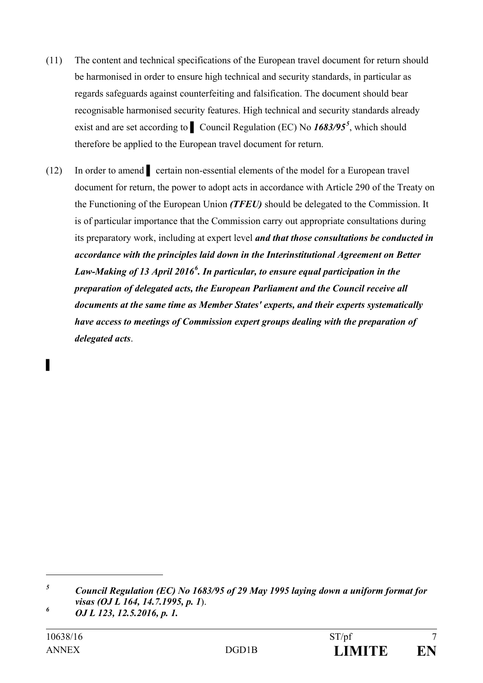- (11) The content and technical specifications of the European travel document for return should be harmonised in order to ensure high technical and security standards, in particular as regards safeguards against counterfeiting and falsification. The document should bear recognisable harmonised security features. High technical and security standards already exist and are set according to ▌ Council Regulation (EC) No *1683/95<sup>5</sup>* , which should therefore be applied to the European travel document for return.
- (12) In order to amend ▌ certain non-essential elements of the model for a European travel document for return, the power to adopt acts in accordance with Article 290 of the Treaty on the Functioning of the European Union *(TFEU)* should be delegated to the Commission. It is of particular importance that the Commission carry out appropriate consultations during its preparatory work, including at expert level *and that those consultations be conducted in accordance with the principles laid down in the Interinstitutional Agreement on Better Law-Making of 13 April 2016<sup>6</sup> . In particular, to ensure equal participation in the preparation of delegated acts, the European Parliament and the Council receive all documents at the same time as Member States' experts, and their experts systematically have access to meetings of Commission expert groups dealing with the preparation of delegated acts*.

▌

*<sup>5</sup> Council Regulation (EC) No 1683/95 of 29 May 1995 laying down a uniform format for visas (OJ L 164, 14.7.1995, p. 1*).

*<sup>6</sup> OJ L 123, 12.5.2016, p. 1.*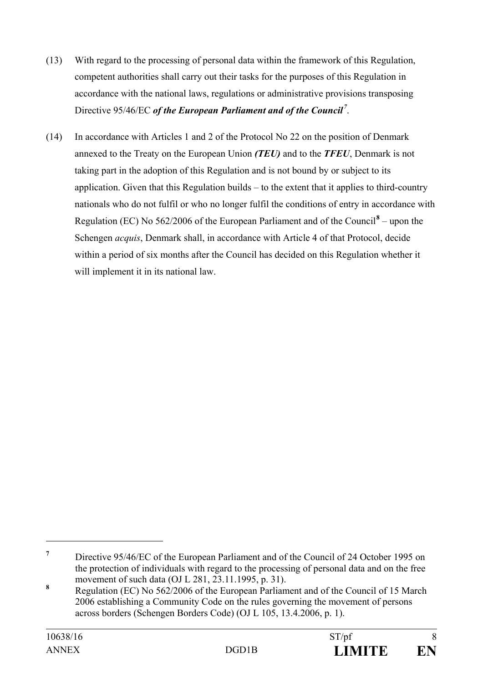- (13) With regard to the processing of personal data within the framework of this Regulation, competent authorities shall carry out their tasks for the purposes of this Regulation in accordance with the national laws, regulations or administrative provisions transposing Directive 95/46/EC *of the European Parliament and of the Council<sup>7</sup>* .
- (14) In accordance with Articles 1 and 2 of the Protocol No 22 on the position of Denmark annexed to the Treaty on the European Union *(TEU)* and to the *TFEU*, Denmark is not taking part in the adoption of this Regulation and is not bound by or subject to its application. Given that this Regulation builds – to the extent that it applies to third-country nationals who do not fulfil or who no longer fulfil the conditions of entry in accordance with Regulation (EC) No  $562/2006$  of the European Parliament and of the Council<sup>8</sup> – upon the Schengen *acquis*, Denmark shall, in accordance with Article 4 of that Protocol, decide within a period of six months after the Council has decided on this Regulation whether it will implement it in its national law.

**<sup>7</sup>** Directive 95/46/EC of the European Parliament and of the Council of 24 October 1995 on the protection of individuals with regard to the processing of personal data and on the free movement of such data (OJ L 281, 23.11.1995, p. 31).

**<sup>8</sup>** Regulation (EC) No 562/2006 of the European Parliament and of the Council of 15 March 2006 establishing a Community Code on the rules governing the movement of persons across borders (Schengen Borders Code) (OJ L 105, 13.4.2006, p. 1).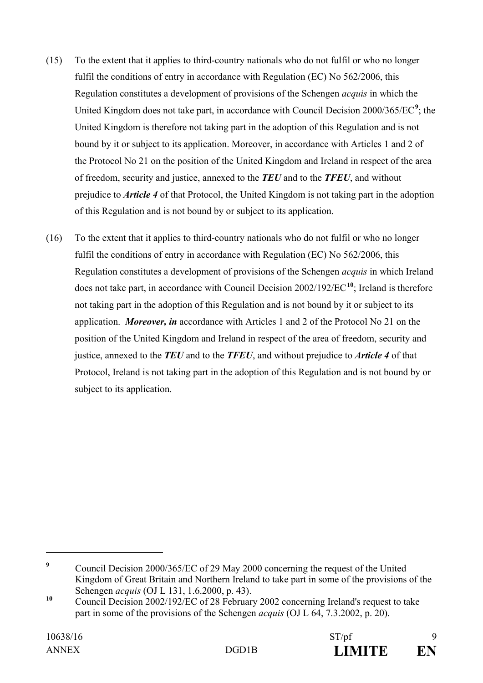- (15) To the extent that it applies to third-country nationals who do not fulfil or who no longer fulfil the conditions of entry in accordance with Regulation (EC) No 562/2006, this Regulation constitutes a development of provisions of the Schengen *acquis* in which the United Kingdom does not take part, in accordance with Council Decision 2000/365/EC<sup>9</sup>; the United Kingdom is therefore not taking part in the adoption of this Regulation and is not bound by it or subject to its application. Moreover, in accordance with Articles 1 and 2 of the Protocol No 21 on the position of the United Kingdom and Ireland in respect of the area of freedom, security and justice, annexed to the *TEU* and to the *TFEU*, and without prejudice to *Article 4* of that Protocol, the United Kingdom is not taking part in the adoption of this Regulation and is not bound by or subject to its application.
- (16) To the extent that it applies to third-country nationals who do not fulfil or who no longer fulfil the conditions of entry in accordance with Regulation (EC) No 562/2006, this Regulation constitutes a development of provisions of the Schengen *acquis* in which Ireland does not take part, in accordance with Council Decision 2002/192/EC**<sup>10</sup>**; Ireland is therefore not taking part in the adoption of this Regulation and is not bound by it or subject to its application. *Moreover, in* accordance with Articles 1 and 2 of the Protocol No 21 on the position of the United Kingdom and Ireland in respect of the area of freedom, security and justice, annexed to the *TEU* and to the *TFEU*, and without prejudice to *Article 4* of that Protocol, Ireland is not taking part in the adoption of this Regulation and is not bound by or subject to its application.

**<sup>9</sup>** Council Decision 2000/365/EC of 29 May 2000 concerning the request of the United Kingdom of Great Britain and Northern Ireland to take part in some of the provisions of the Schengen *acquis* (OJ L 131, 1.6.2000, p. 43).

<sup>&</sup>lt;sup>10</sup> Council Decision 2002/192/EC of 28 February 2002 concerning Ireland's request to take part in some of the provisions of the Schengen *acquis* (OJ L 64, 7.3.2002, p. 20).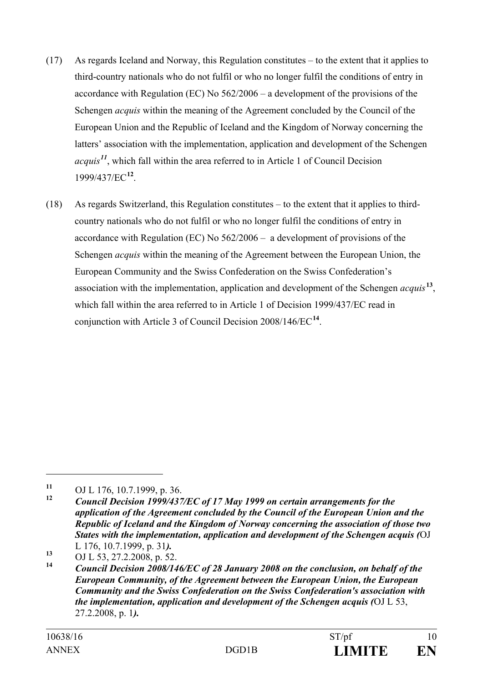- (17) As regards Iceland and Norway, this Regulation constitutes to the extent that it applies to third-country nationals who do not fulfil or who no longer fulfil the conditions of entry in accordance with Regulation (EC) No 562/2006 – a development of the provisions of the Schengen *acquis* within the meaning of the Agreement concluded by the Council of the European Union and the Republic of Iceland and the Kingdom of Norway concerning the latters' association with the implementation, application and development of the Schengen *acquis<sup>11</sup>*, which fall within the area referred to in Article 1 of Council Decision 1999/437/EC**<sup>12</sup>**.
- (18) As regards Switzerland, this Regulation constitutes to the extent that it applies to thirdcountry nationals who do not fulfil or who no longer fulfil the conditions of entry in accordance with Regulation (EC) No 562/2006 – a development of provisions of the Schengen *acquis* within the meaning of the Agreement between the European Union, the European Community and the Swiss Confederation on the Swiss Confederation's association with the implementation, application and development of the Schengen *acquis***<sup>13</sup>**, which fall within the area referred to in Article 1 of Decision 1999/437/EC read in conjunction with Article 3 of Council Decision 2008/146/EC**<sup>14</sup>**.

**<sup>11</sup>** OJ L 176, 10.7.1999, p. 36.

**<sup>12</sup>** *Council Decision 1999/437/EC of 17 May 1999 on certain arrangements for the application of the Agreement concluded by the Council of the European Union and the Republic of Iceland and the Kingdom of Norway concerning the association of those two States with the implementation, application and development of the Schengen acquis (*OJ L 176, 10.7.1999, p. 31*).*

<sup>13</sup> OJ L 53, 27.2.2008, p. 52.<br>
14 C  $\cdot$  **10**  $\cdot$  **10** 2008/14

**<sup>14</sup>** *Council Decision 2008/146/EC of 28 January 2008 on the conclusion, on behalf of the European Community, of the Agreement between the European Union, the European Community and the Swiss Confederation on the Swiss Confederation's association with the implementation, application and development of the Schengen acquis (*OJ L 53, 27.2.2008, p. 1*).*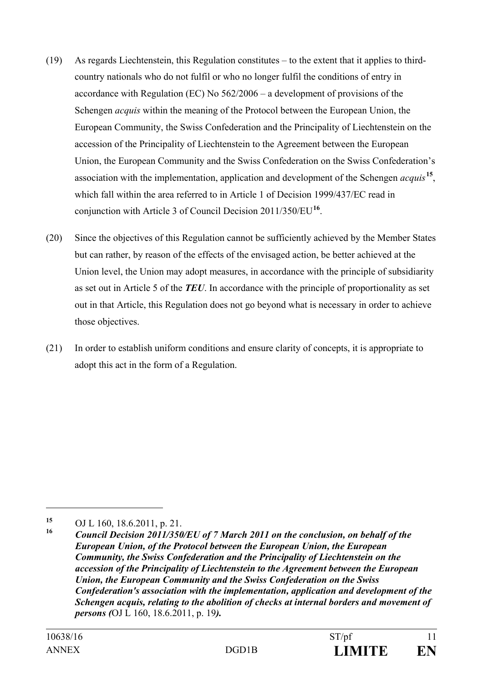- (19) As regards Liechtenstein, this Regulation constitutes to the extent that it applies to thirdcountry nationals who do not fulfil or who no longer fulfil the conditions of entry in accordance with Regulation (EC) No 562/2006 – a development of provisions of the Schengen *acquis* within the meaning of the Protocol between the European Union, the European Community, the Swiss Confederation and the Principality of Liechtenstein on the accession of the Principality of Liechtenstein to the Agreement between the European Union, the European Community and the Swiss Confederation on the Swiss Confederation's association with the implementation, application and development of the Schengen *acquis***<sup>15</sup>**, which fall within the area referred to in Article 1 of Decision 1999/437/EC read in conjunction with Article 3 of Council Decision 2011/350/EU**<sup>16</sup>**.
- (20) Since the objectives of this Regulation cannot be sufficiently achieved by the Member States but can rather, by reason of the effects of the envisaged action, be better achieved at the Union level, the Union may adopt measures, in accordance with the principle of subsidiarity as set out in Article 5 of the *TEU*. In accordance with the principle of proportionality as set out in that Article, this Regulation does not go beyond what is necessary in order to achieve those objectives.
- (21) In order to establish uniform conditions and ensure clarity of concepts, it is appropriate to adopt this act in the form of a Regulation.

**<sup>15</sup>** OJ L 160, 18.6.2011, p. 21.

**<sup>16</sup>** *Council Decision 2011/350/EU of 7 March 2011 on the conclusion, on behalf of the European Union, of the Protocol between the European Union, the European Community, the Swiss Confederation and the Principality of Liechtenstein on the accession of the Principality of Liechtenstein to the Agreement between the European Union, the European Community and the Swiss Confederation on the Swiss Confederation's association with the implementation, application and development of the Schengen acquis, relating to the abolition of checks at internal borders and movement of persons (*OJ L 160, 18.6.2011, p. 19*).*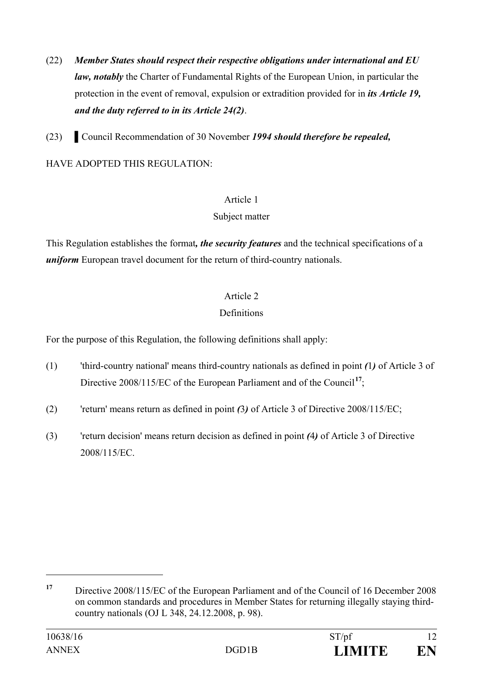- (22) *Member States should respect their respective obligations under international and EU law, notably* the Charter of Fundamental Rights of the European Union, in particular the protection in the event of removal, expulsion or extradition provided for in *its Article 19, and the duty referred to in its Article 24(2)*.
- (23) ▌Council Recommendation of 30 November *1994 should therefore be repealed,*

HAVE ADOPTED THIS REGULATION:

#### Article 1

#### Subject matter

This Regulation establishes the format*, the security features* and the technical specifications of a *uniform* European travel document for the return of third-country nationals.

## Article 2

## **Definitions**

For the purpose of this Regulation, the following definitions shall apply:

- (1) 'third-country national' means third-country nationals as defined in point *(*1*)* of Article 3 of Directive 2008/115/EC of the European Parliament and of the Council**<sup>17</sup>**;
- (2) 'return' means return as defined in point *(*3*)* of Article 3 of Directive 2008/115/EC;
- (3) 'return decision' means return decision as defined in point *(*4*)* of Article 3 of Directive 2008/115/EC.

**<sup>17</sup>** Directive 2008/115/EC of the European Parliament and of the Council of 16 December 2008 on common standards and procedures in Member States for returning illegally staying thirdcountry nationals (OJ L 348, 24.12.2008, p. 98).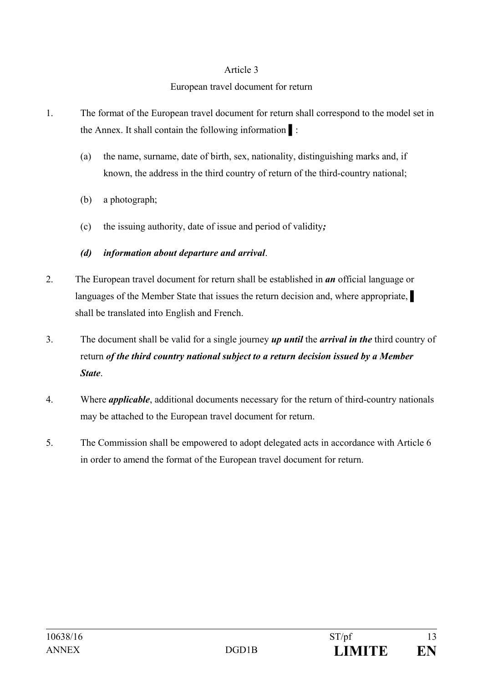#### European travel document for return

- 1. The format of the European travel document for return shall correspond to the model set in the Annex. It shall contain the following information ▌:
	- (a) the name, surname, date of birth, sex, nationality, distinguishing marks and, if known, the address in the third country of return of the third-country national;
	- (b) a photograph;
	- (c) the issuing authority, date of issue and period of validity*;*
	- *(d) information about departure and arrival*.
- 2. The European travel document for return shall be established in *an* official language or languages of the Member State that issues the return decision and, where appropriate, shall be translated into English and French.
- 3. The document shall be valid for a single journey *up until* the *arrival in the* third country of return *of the third country national subject to a return decision issued by a Member State*.
- 4. Where *applicable*, additional documents necessary for the return of third-country nationals may be attached to the European travel document for return.
- 5. The Commission shall be empowered to adopt delegated acts in accordance with Article 6 in order to amend the format of the European travel document for return.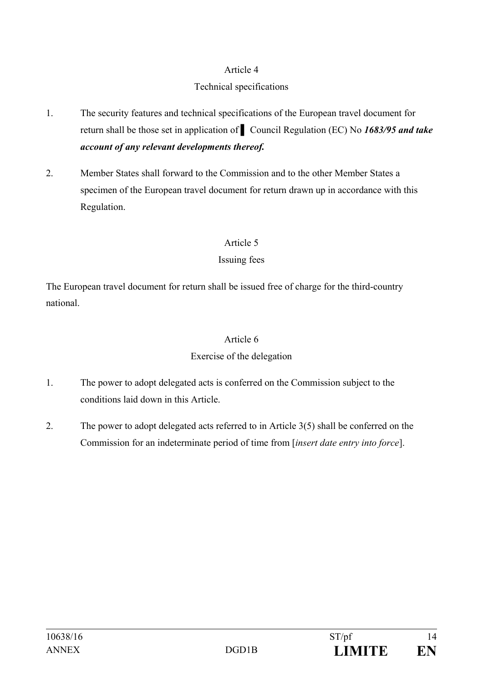## Technical specifications

- 1. The security features and technical specifications of the European travel document for return shall be those set in application of ▌ Council Regulation (EC) No *1683/95 and take account of any relevant developments thereof.*
- 2. Member States shall forward to the Commission and to the other Member States a specimen of the European travel document for return drawn up in accordance with this Regulation.

#### Article 5

## Issuing fees

The European travel document for return shall be issued free of charge for the third-country national.

## Article 6

## Exercise of the delegation

- 1. The power to adopt delegated acts is conferred on the Commission subject to the conditions laid down in this Article.
- 2. The power to adopt delegated acts referred to in Article 3(5) shall be conferred on the Commission for an indeterminate period of time from [*insert date entry into force*].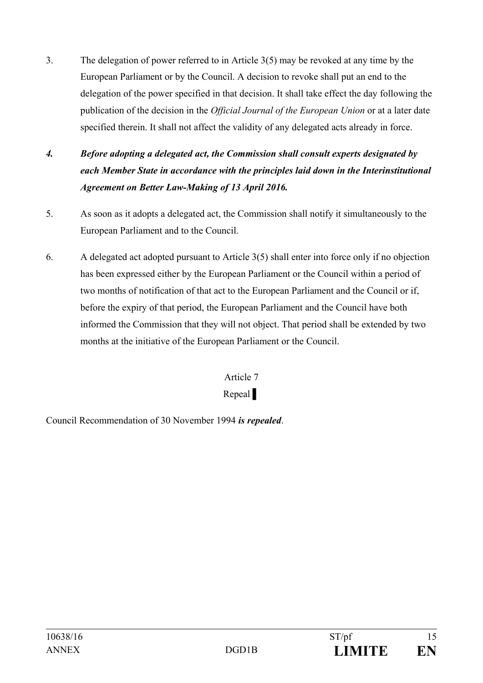- 3. The delegation of power referred to in Article 3(5) may be revoked at any time by the European Parliament or by the Council. A decision to revoke shall put an end to the delegation of the power specified in that decision. It shall take effect the day following the publication of the decision in the *Official Journal of the European Union* or at a later date specified therein. It shall not affect the validity of any delegated acts already in force.
- *4. Before adopting a delegated act, the Commission shall consult experts designated by each Member State in accordance with the principles laid down in the Interinstitutional Agreement on Better Law-Making of 13 April 2016.*
- 5. As soon as it adopts a delegated act, the Commission shall notify it simultaneously to the European Parliament and to the Council.
- 6. A delegated act adopted pursuant to Article 3(5) shall enter into force only if no objection has been expressed either by the European Parliament or the Council within a period of two months of notification of that act to the European Parliament and the Council or if, before the expiry of that period, the European Parliament and the Council have both informed the Commission that they will not object. That period shall be extended by two months at the initiative of the European Parliament or the Council.

# Repeal |

Council Recommendation of 30 November 1994 *is repealed*.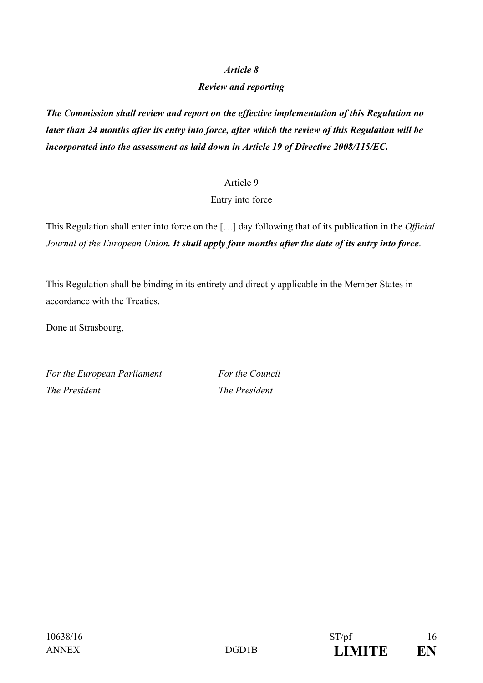### *Review and reporting*

*The Commission shall review and report on the effective implementation of this Regulation no later than 24 months after its entry into force, after which the review of this Regulation will be incorporated into the assessment as laid down in Article 19 of Directive 2008/115/EC.*

#### Article 9

#### Entry into force

This Regulation shall enter into force on the […] day following that of its publication in the *Official Journal of the European Union. It shall apply four months after the date of its entry into force*.

This Regulation shall be binding in its entirety and directly applicable in the Member States in accordance with the Treaties.

Done at Strasbourg,

For the European Parliament For the Council *The President* The *President*